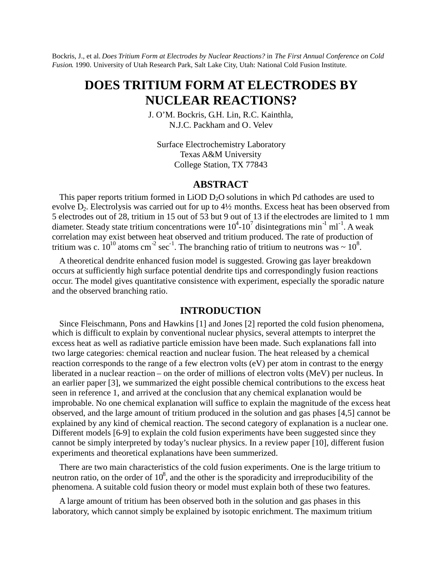Bockris, J., et al. *Does Tritium Form at Electrodes by Nuclear Reactions?* in *The First Annual Conference on Cold Fusion*. 1990. University of Utah Research Park, Salt Lake City, Utah: National Cold Fusion Institute.

# **DOES TRITIUM FORM AT ELECTRODES BY NUCLEAR REACTIONS?**

J. O'M. Bockris, G.H. Lin, R.C. Kainthla, N.J.C. Packham and O. Velev

Surface Electrochemistry Laboratory Texas A&M University College Station, TX 77843

# **ABSTRACT**

This paper reports tritium formed in  $LiOD D<sub>2</sub>O$  solutions in which Pd cathodes are used to evolve  $D_2$ . Electrolysis was carried out for up to  $4\frac{1}{2}$  months. Excess heat has been observed from 5 electrodes out of 28, tritium in 15 out of 53 but 9 out of 13 if the electrodes are limited to 1 mm diameter. Steady state tritium concentrations were  $10^4$ - $10^7$  disintegrations min<sup>-1</sup> ml<sup>-1</sup>. A weak correlation may exist between heat observed and tritium produced. The rate of production of tritium was c.  $10^{10}$  atoms cm<sup>-2</sup> sec<sup>-1</sup>. The branching ratio of tritium to neutrons was ~  $10^8$ .

A theoretical dendrite enhanced fusion model is suggested. Growing gas layer breakdown occurs at sufficiently high surface potential dendrite tips and correspondingly fusion reactions occur. The model gives quantitative consistence with experiment, especially the sporadic nature and the observed branching ratio.

# **INTRODUCTION**

Since Fleischmann, Pons and Hawkins [1] and Jones [2] reported the cold fusion phenomena, which is difficult to explain by conventional nuclear physics, several attempts to interpret the excess heat as well as radiative particle emission have been made. Such explanations fall into two large categories: chemical reaction and nuclear fusion. The heat released by a chemical reaction corresponds to the range of a few electron volts (eV) per atom in contrast to the energy liberated in a nuclear reaction – on the order of millions of electron volts (MeV) per nucleus. In an earlier paper [3], we summarized the eight possible chemical contributions to the excess heat seen in reference 1, and arrived at the conclusion that any chemical explanation would be improbable. No one chemical explanation will suffice to explain the magnitude of the excess heat observed, and the large amount of tritium produced in the solution and gas phases [4,5] cannot be explained by any kind of chemical reaction. The second category of explanation is a nuclear one. Different models [6-9] to explain the cold fusion experiments have been suggested since they cannot be simply interpreted by today's nuclear physics. In a review paper [10], different fusion experiments and theoretical explanations have been summerized.

There are two main characteristics of the cold fusion experiments. One is the large tritium to neutron ratio, on the order of  $10^8$ , and the other is the sporadicity and irreproducibility of the phenomena. A suitable cold fusion theory or model must explain both of these two features.

A large amount of tritium has been observed both in the solution and gas phases in this laboratory, which cannot simply be explained by isotopic enrichment. The maximum tritium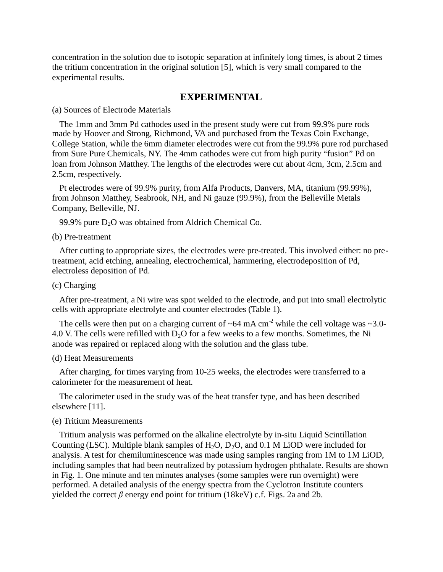concentration in the solution due to isotopic separation at infinitely long times, is about 2 times the tritium concentration in the original solution [5], which is very small compared to the experimental results.

# **EXPERIMENTAL**

(a) Sources of Electrode Materials

The 1mm and 3mm Pd cathodes used in the present study were cut from 99.9% pure rods made by Hoover and Strong, Richmond, VA and purchased from the Texas Coin Exchange, College Station, while the 6mm diameter electrodes were cut from the 99.9% pure rod purchased from Sure Pure Chemicals, NY. The 4mm cathodes were cut from high purity "fusion" Pd on loan from Johnson Matthey. The lengths of the electrodes were cut about 4cm, 3cm, 2.5cm and 2.5cm, respectively.

Pt electrodes were of 99.9% purity, from Alfa Products, Danvers, MA, titanium (99.99%), from Johnson Matthey, Seabrook, NH, and Ni gauze (99.9%), from the Belleville Metals Company, Belleville, NJ.

99.9% pure  $D_2O$  was obtained from Aldrich Chemical Co.

#### (b) Pre-treatment

After cutting to appropriate sizes, the electrodes were pre-treated. This involved either: no pretreatment, acid etching, annealing, electrochemical, hammering, electrodeposition of Pd, electroless deposition of Pd.

### (c) Charging

After pre-treatment, a Ni wire was spot welded to the electrode, and put into small electrolytic cells with appropriate electrolyte and counter electrodes (Table 1).

The cells were then put on a charging current of  $\sim 64$  mA cm<sup>-2</sup> while the cell voltage was  $\sim 3.0$ -4.0 V. The cells were refilled with  $D_2O$  for a few weeks to a few months. Sometimes, the Ni anode was repaired or replaced along with the solution and the glass tube.

#### (d) Heat Measurements

After charging, for times varying from 10-25 weeks, the electrodes were transferred to a calorimeter for the measurement of heat.

The calorimeter used in the study was of the heat transfer type, and has been described elsewhere [11].

#### (e) Tritium Measurements

Tritium analysis was performed on the alkaline electrolyte by in-situ Liquid Scintillation Counting (LSC). Multiple blank samples of  $H_2O$ ,  $D_2O$ , and 0.1 M LiOD were included for analysis. A test for chemiluminescence was made using samples ranging from 1M to 1M LiOD, including samples that had been neutralized by potassium hydrogen phthalate. Results are shown in Fig. 1. One minute and ten minutes analyses (some samples were run overnight) were performed. A detailed analysis of the energy spectra from the Cyclotron Institute counters yielded the correct  $\beta$  energy end point for tritium (18keV) c.f. Figs. 2a and 2b.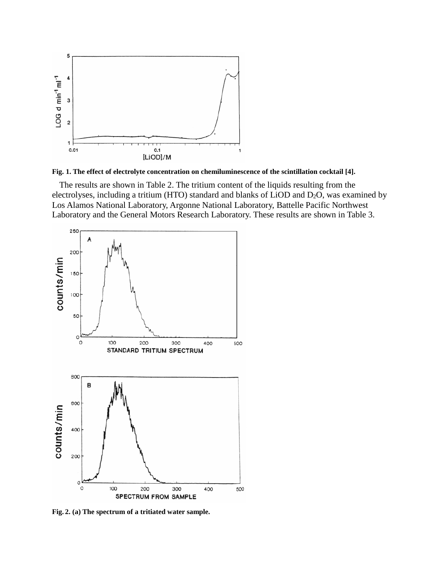

**Fig. 1. The effect of electrolyte concentration on chemiluminescence of the scintillation cocktail [4].**

The results are shown in Table 2. The tritium content of the liquids resulting from the electrolyses, including a tritium (HTO) standard and blanks of LiOD and D2O, was examined by Los Alamos National Laboratory, Argonne National Laboratory, Battelle Pacific Northwest Laboratory and the General Motors Research Laboratory. These results are shown in Table 3.



**Fig. 2. (a) The spectrum of a tritiated water sample.**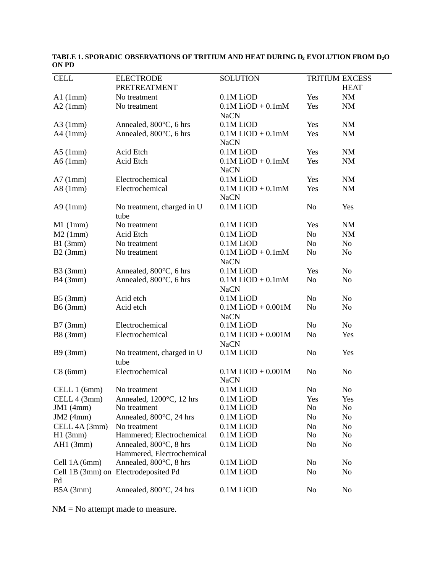| <b>CELL</b>   | <b>ELECTRODE</b>                                    | <b>SOLUTION</b>                       |                | TRITIUM EXCESS |
|---------------|-----------------------------------------------------|---------------------------------------|----------------|----------------|
|               | PRETREATMENT                                        |                                       |                | <b>HEAT</b>    |
| Al(1mm)       | No treatment                                        | 0.1M LiOD                             | Yes            | $\rm{NM}$      |
| A2(1mm)       | No treatment                                        | $0.1M$ LiOD + $0.1mM$<br><b>NaCN</b>  | Yes            | <b>NM</b>      |
| $A3$ (1mm)    | Annealed, 800°C, 6 hrs                              | 0.1M LiOD                             | Yes            | NM             |
| $A4$ (1mm)    | Annealed, 800°C, 6 hrs                              | $0.1M$ LiOD + $0.1mM$<br><b>NaCN</b>  | Yes            | NM             |
| $A5$ (1mm)    | Acid Etch                                           | 0.1M LiOD                             | Yes            | $\rm{NM}$      |
| A6(1mm)       | Acid Etch                                           | $0.1M$ LiOD + $0.1mM$<br><b>NaCN</b>  | Yes            | <b>NM</b>      |
| A7(1mm)       | Electrochemical                                     | 0.1M LiOD                             | Yes            | <b>NM</b>      |
| A8(1mm)       | Electrochemical                                     | $0.1M$ LiOD + $0.1mM$<br><b>NaCN</b>  | Yes            | <b>NM</b>      |
| A9(1mm)       | No treatment, charged in U<br>tube                  | 0.1M LiOD                             | N <sub>o</sub> | Yes            |
| $M1$ (1mm)    | No treatment                                        | 0.1M LiOD                             | Yes            | <b>NM</b>      |
| M2(1mm)       | Acid Etch                                           | 0.1M LiOD                             | No             | <b>NM</b>      |
| B1(3mm)       | No treatment                                        | 0.1M LiOD                             | No             | N <sub>o</sub> |
| B2(3mm)       | No treatment                                        | $0.1M$ LiOD + $0.1mM$<br><b>NaCN</b>  | N <sub>0</sub> | N <sub>0</sub> |
| B3(3mm)       | Annealed, 800°C, 6 hrs                              | 0.1M LiOD                             | Yes            | N <sub>o</sub> |
| B4(3mm)       | Annealed, 800°C, 6 hrs                              | $0.1M$ LiOD + $0.1mM$<br><b>NaCN</b>  | No             | N <sub>o</sub> |
| B5(3mm)       | Acid etch                                           | 0.1M LiOD                             | N <sub>o</sub> | N <sub>o</sub> |
| B6(3mm)       | Acid etch                                           | $0.1M$ LiOD + $0.001M$<br><b>NaCN</b> | N <sub>o</sub> | N <sub>0</sub> |
| B7(3mm)       | Electrochemical                                     | 0.1M LiOD                             | N <sub>o</sub> | No             |
| B8(3mm)       | Electrochemical                                     | $0.1M$ LiOD + $0.001M$<br><b>NaCN</b> | N <sub>0</sub> | Yes            |
| B9(3mm)       | No treatment, charged in U<br>tube                  | 0.1M LiOD                             | N <sub>o</sub> | Yes            |
| C8(6mm)       | Electrochemical                                     | $0.1M$ LiOD + $0.001M$<br><b>NaCN</b> | N <sub>o</sub> | N <sub>o</sub> |
| CELL 1 (6mm)  | No treatment                                        | 0.1M LiOD                             | N <sub>o</sub> | N <sub>o</sub> |
| CELL 4 (3mm)  | Annealed, 1200°C, 12 hrs                            | 0.1M LiOD                             | Yes            | Yes            |
| JM1(4mm)      | No treatment                                        | 0.1M LiOD                             | No             | No             |
| JM2(4mm)      | Annealed, 800°C, 24 hrs                             | 0.1M LiOD                             | N <sub>0</sub> | No             |
| CELL 4A (3mm) | No treatment                                        | 0.1M LiOD                             | N <sub>0</sub> | No             |
| H1(3mm)       | Hammered; Electrochemical                           | 0.1M LiOD                             | N <sub>0</sub> | N <sub>0</sub> |
| $AH1$ (3mm)   | Annealed, 800°C, 8 hrs<br>Hammered, Electrochemical | 0.1M LiOD                             | No             | N <sub>0</sub> |
| Cell 1A (6mm) | Annealed, 800°C, 8 hrs                              | 0.1M LiOD                             | No             | N <sub>0</sub> |
| Pd            | Cell 1B (3mm) on Electrodeposited Pd                | 0.1M LiOD                             | N <sub>0</sub> | N <sub>0</sub> |
| B5A(3mm)      | Annealed, 800°C, 24 hrs                             | 0.1M LiOD                             | No             | No             |

**TABLE 1. SPORADIC OBSERVATIONS OF TRITIUM AND HEAT DURING D<sup>2</sup> EVOLUTION FROM D2O ON PD**

NM = No attempt made to measure.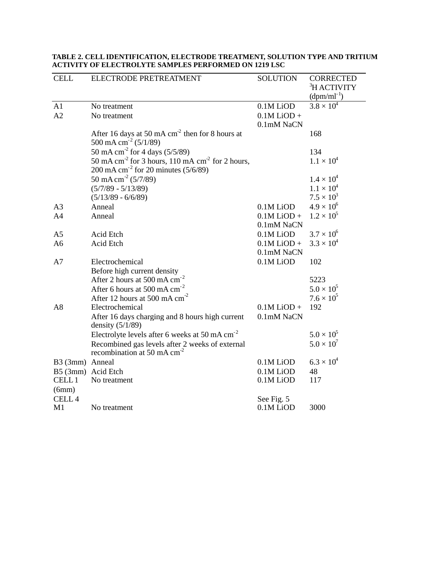| <b>CELL</b>           | ELECTRODE PRETREATMENT                                                                                                        | <b>SOLUTION</b>                          | <b>CORRECTED</b><br><sup>3</sup> H ACTIVITY<br>$(dpm/ml^{-1})$ |
|-----------------------|-------------------------------------------------------------------------------------------------------------------------------|------------------------------------------|----------------------------------------------------------------|
| A1<br>A2              | No treatment<br>No treatment                                                                                                  | 0.1M LiOD<br>$0.1M$ LiOD +<br>0.1mM NaCN | $3.8 \times 10^{4}$                                            |
|                       | After 16 days at 50 mA $cm2$ then for 8 hours at<br>500 mA cm <sup>-2</sup> (5/1/89)                                          |                                          | 168                                                            |
|                       | 50 mA cm <sup>-2</sup> for 4 days $(5/5/89)$                                                                                  |                                          | 134                                                            |
|                       | 50 mA cm <sup>-2</sup> for 3 hours, 110 mA cm <sup>-2</sup> for 2 hours,<br>200 mA cm <sup>-2</sup> for 20 minutes $(5/6/89)$ |                                          | $1.1 \times 10^{4}$                                            |
|                       | 50 mA cm <sup>-2</sup> (5/7/89)                                                                                               |                                          | $1.4 \times 10^{4}$                                            |
|                       | $(5/7/89 - 5/13/89)$                                                                                                          |                                          | $1.1 \times 10^{4}$                                            |
|                       | $(5/13/89 - 6/6/89)$                                                                                                          |                                          | $7.5 \times 10^{3}$                                            |
| A <sub>3</sub>        | Anneal                                                                                                                        | 0.1M LiOD                                | $4.9 \times 10^{6}$                                            |
| A <sub>4</sub>        | Anneal                                                                                                                        | $0.1M$ LiOD +<br>0.1mM NaCN              | $1.2 \times 10^{5}$                                            |
| A <sub>5</sub>        | Acid Etch                                                                                                                     | 0.1M LiOD                                | $3.7 \times 10^{6}$                                            |
| A <sub>6</sub>        | Acid Etch                                                                                                                     | $0.1M$ LiOD +<br>0.1mM NaCN              | $3.3 \times 10^{4}$                                            |
| A7                    | Electrochemical                                                                                                               | 0.1M LiOD                                | 102                                                            |
|                       | Before high current density                                                                                                   |                                          |                                                                |
|                       | After 2 hours at 500 mA $cm^{-2}$                                                                                             |                                          | 5223                                                           |
|                       | After 6 hours at 500 mA $cm^{-2}$                                                                                             |                                          | $5.0 \times 10^{5}$                                            |
|                       | After 12 hours at 500 mA $cm^{-2}$                                                                                            |                                          | $7.6 \times 10^5$                                              |
| A8                    | Electrochemical                                                                                                               | $0.1M$ LiOD +                            | 192                                                            |
|                       | After 16 days charging and 8 hours high current<br>density $(5/1/89)$                                                         | 0.1mM NaCN                               |                                                                |
|                       | Electrolyte levels after 6 weeks at 50 mA $cm^{-2}$                                                                           |                                          | $5.0 \times 10^{5}$                                            |
|                       | Recombined gas levels after 2 weeks of external<br>recombination at 50 mA $cm-2$                                              |                                          | $5.0 \times 10^{7}$                                            |
| B3 (3mm) Anneal       |                                                                                                                               | 0.1M LiOD                                | $6.3 \times 10^{4}$                                            |
|                       | B5 (3mm) Acid Etch                                                                                                            | 0.1M LiOD                                | 48                                                             |
| <b>CELL1</b><br>(6mm) | No treatment                                                                                                                  | 0.1M LiOD                                | 117                                                            |
| CELL <sub>4</sub>     |                                                                                                                               | See Fig. 5                               |                                                                |
| M1                    | No treatment                                                                                                                  | $0.1M$ LiOD                              | 3000                                                           |

#### **TABLE 2. CELL IDENTIFICATION, ELECTRODE TREATMENT, SOLUTION TYPE AND TRITIUM ACTIVITY OF ELECTROLYTE SAMPLES PERFORMED ON 1219 LSC**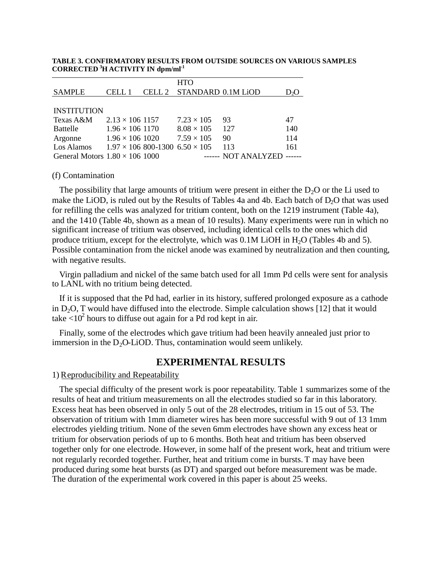#### **TABLE 3. CONFIRMATORY RESULTS FROM OUTSIDE SOURCES ON VARIOUS SAMPLES CORRECTED <sup>3</sup>H ACTIVITY IN dpm/ml-1**

|                                       |                        | <b>HTO</b>                                   |                     |     |
|---------------------------------------|------------------------|----------------------------------------------|---------------------|-----|
| <b>SAMPLE</b>                         | CELL 1                 | CELL 2 STANDARD 0.1M LIOD                    |                     | D2O |
|                                       |                        |                                              |                     |     |
| <b>INSTITUTION</b>                    |                        |                                              |                     |     |
| Texas A&M                             | $2.13 \times 106$ 1157 | $7.23 \times 105$                            | 93                  | 47  |
| Battelle                              | $1.96 \times 106$ 1170 | $8.08 \times 105$                            | 127                 | 140 |
| Argonne                               | $1.96 \times 106$ 1020 | $7.59 \times 105$                            | 90                  | 114 |
| Los Alamos                            |                        | $1.97 \times 106$ 800-1300 6.50 $\times 105$ | 113                 | 161 |
| General Motors $1.80 \times 106$ 1000 |                        |                                              | ------ NOT ANALYZED |     |

(f) Contamination

The possibility that large amounts of tritium were present in either the  $D_2O$  or the Li used to make the LiOD, is ruled out by the Results of Tables 4a and 4b. Each batch of D<sub>2</sub>O that was used for refilling the cells was analyzed for tritium content, both on the 1219 instrument (Table 4a), and the 1410 (Table 4b, shown as a mean of 10 results). Many experiments were run in which no significant increase of tritium was observed, including identical cells to the ones which did produce tritium, except for the electrolyte, which was  $0.1M$  LiOH in H<sub>2</sub>O (Tables 4b and 5). Possible contamination from the nickel anode was examined by neutralization and then counting, with negative results.

Virgin palladium and nickel of the same batch used for all 1mm Pd cells were sent for analysis to LANL with no tritium being detected.

If it is supposed that the Pd had, earlier in its history, suffered prolonged exposure as a cathode in  $D_2O$ , T would have diffused into the electrode. Simple calculation shows [12] that it would take  $\langle 10^2$  hours to diffuse out again for a Pd rod kept in air.

Finally, some of the electrodes which gave tritium had been heavily annealed just prior to immersion in the  $D_2O$ -LiOD. Thus, contamination would seem unlikely.

# **EXPERIMENTAL RESULTS**

1) Reproducibility and Repeatability

The special difficulty of the present work is poor repeatability. Table 1 summarizes some of the results of heat and tritium measurements on all the electrodes studied so far in this laboratory. Excess heat has been observed in only 5 out of the 28 electrodes, tritium in 15 out of 53. The observation of tritium with 1mm diameter wires has been more successful with 9 out of 13 1mm electrodes yielding tritium. None of the seven 6mm electrodes have shown any excess heat or tritium for observation periods of up to 6 months. Both heat and tritium has been observed together only for one electrode. However, in some half of the present work, heat and tritium were not regularly recorded together. Further, heat and tritium come in bursts. T may have been produced during some heat bursts (as DT) and sparged out before measurement was be made. The duration of the experimental work covered in this paper is about 25 weeks.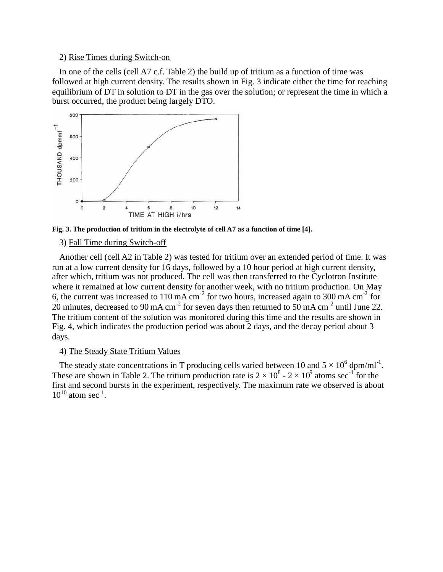### 2) Rise Times during Switch-on

In one of the cells (cell A7 c.f. Table 2) the build up of tritium as a function of time was followed at high current density. The results shown in Fig. 3 indicate either the time for reaching equilibrium of DT in solution to DT in the gas over the solution; or represent the time in which a burst occurred, the product being largely DTO.



**Fig. 3. The production of tritium in the electrolyte of cell A7 as a function of time [4].**

#### 3) Fall Time during Switch-off

Another cell (cell A2 in Table 2) was tested for tritium over an extended period of time. It was run at a low current density for 16 days, followed by a 10 hour period at high current density, after which, tritium was not produced. The cell was then transferred to the Cyclotron Institute where it remained at low current density for another week, with no tritium production. On May 6, the current was increased to 110 mA cm<sup>-2</sup> for two hours, increased again to 300 mA cm<sup>-2</sup> for 20 minutes, decreased to 90 mA cm<sup>-2</sup> for seven days then returned to 50 mA cm<sup>-2</sup> until June 22. The tritium content of the solution was monitored during this time and the results are shown in Fig. 4, which indicates the production period was about 2 days, and the decay period about 3 days.

#### 4) The Steady State Tritium Values

The steady state concentrations in T producing cells varied between 10 and  $5 \times 10^6$  dpm/ml<sup>-1</sup>. These are shown in Table 2. The tritium production rate is  $2 \times 10^8$  -  $2 \times 10^9$  atoms sec<sup>-1</sup> for the first and second bursts in the experiment, respectively. The maximum rate we observed is about  $10^{10}$  atom sec<sup>-1</sup>.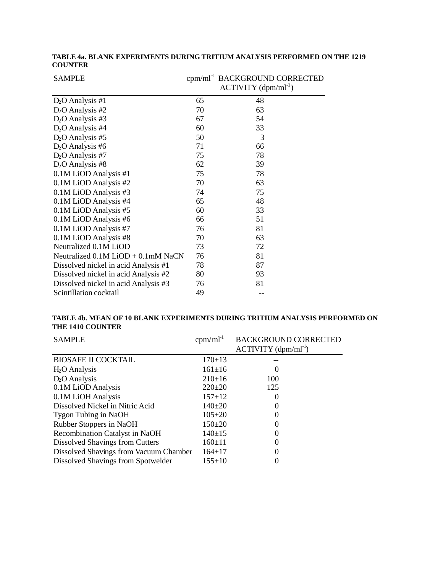| <b>SAMPLE</b>                          | $cpm/ml^{-1}$ | <b>BACKGROUND CORRECTED</b><br>$ACTIVITY (dpm/ml^{-1})$ |
|----------------------------------------|---------------|---------------------------------------------------------|
| $D_2$ O Analysis #1                    | 65            | 48                                                      |
| $D2O$ Analysis #2                      | 70            | 63                                                      |
| $D_2$ O Analysis #3                    | 67            | 54                                                      |
| $D2O$ Analysis #4                      | 60            | 33                                                      |
| $D_2$ O Analysis #5                    | 50            | 3                                                       |
| $D2O$ Analysis #6                      | 71            | 66                                                      |
| $D_2$ O Analysis #7                    | 75            | 78                                                      |
| $D_2$ O Analysis #8                    | 62            | 39                                                      |
| 0.1M LiOD Analysis #1                  | 75            | 78                                                      |
| 0.1M LiOD Analysis #2                  | 70            | 63                                                      |
| 0.1M LiOD Analysis #3                  | 74            | 75                                                      |
| 0.1M LiOD Analysis #4                  | 65            | 48                                                      |
| 0.1M LiOD Analysis #5                  | 60            | 33                                                      |
| 0.1M LiOD Analysis #6                  | 66            | 51                                                      |
| 0.1M LiOD Analysis #7                  | 76            | 81                                                      |
| 0.1M LiOD Analysis #8                  | 70            | 63                                                      |
| Neutralized 0.1M LiOD                  | 73            | 72                                                      |
| Neutralized $0.1M$ LiOD + $0.1mM$ NaCN | 76            | 81                                                      |
| Dissolved nickel in acid Analysis #1   | 78            | 87                                                      |
| Dissolved nickel in acid Analysis #2   | 80            | 93                                                      |
| Dissolved nickel in acid Analysis #3   | 76            | 81                                                      |
| Scintillation cocktail                 | 49            |                                                         |

### **TABLE 4a. BLANK EXPERIMENTS DURING TRITIUM ANALYSIS PERFORMED ON THE 1219 COUNTER**

### **TABLE 4b. MEAN OF 10 BLANK EXPERIMENTS DURING TRITIUM ANALYSIS PERFORMED ON THE 1410 COUNTER**

| <b>SAMPLE</b>                          | $cpm/ml^{-1}$ | <b>BACKGROUND CORRECTED</b> |
|----------------------------------------|---------------|-----------------------------|
|                                        |               | $ACTIVITY (dpm/ml^{-1})$    |
| <b>BIOSAFE II COCKTAIL</b>             | $170 \pm 13$  |                             |
| $H2O$ Analysis                         | $161 \pm 16$  | O                           |
| $D_2$ O Analysis                       | $210+16$      | 100                         |
| 0.1M LiOD Analysis                     | $220+20$      | 125                         |
| 0.1M LiOH Analysis                     | $157 + 12$    | 0                           |
| Dissolved Nickel in Nitric Acid        | $140\pm 20$   |                             |
| <b>Tygon Tubing in NaOH</b>            | $105 \pm 20$  |                             |
| Rubber Stoppers in NaOH                | $150 \pm 20$  |                             |
| <b>Recombination Catalyst in NaOH</b>  | $140+15$      |                             |
| Dissolved Shavings from Cutters        | $160 \pm 11$  |                             |
| Dissolved Shavings from Vacuum Chamber | $164 \pm 17$  |                             |
| Dissolved Shavings from Spotwelder     | $155+10$      |                             |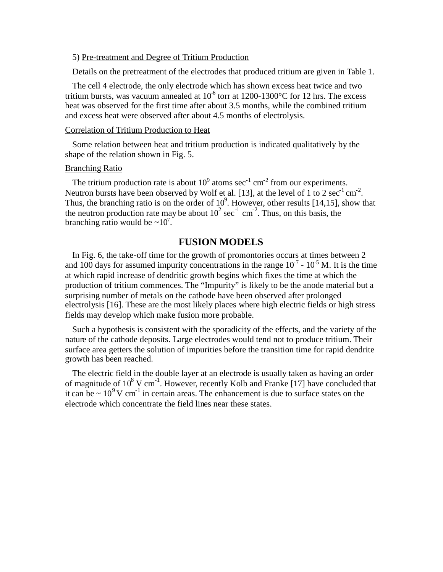#### 5) Pre-treatment and Degree of Tritium Production

Details on the pretreatment of the electrodes that produced tritium are given in Table 1.

The cell 4 electrode, the only electrode which has shown excess heat twice and two tritium bursts, was vacuum annealed at  $10^6$  torr at 1200-1300°C for 12 hrs. The excess heat was observed for the first time after about 3.5 months, while the combined tritium and excess heat were observed after about 4.5 months of electrolysis.

### Correlation of Tritium Production to Heat

Some relation between heat and tritium production is indicated qualitatively by the shape of the relation shown in Fig. 5.

### Branching Ratio

The tritium production rate is about  $10^9$  atoms sec<sup>-1</sup> cm<sup>-2</sup> from our experiments. Neutron bursts have been observed by Wolf et al. [13], at the level of 1 to 2  $\sec^{-1}$  cm<sup>-2</sup>. Thus, the branching ratio is on the order of  $10^9$ . However, other results [14,15], show that the neutron production rate may be about  $10^2 \text{ sec}^{-1} \text{ cm}^{-2}$ . Thus, on this basis, the branching ratio would be  $\sim 10^7$ .

# **FUSION MODELS**

In Fig. 6, the take-off time for the growth of promontories occurs at times between 2 and 100 days for assumed impurity concentrations in the range  $10^{-7}$  -  $10^{-5}$  M. It is the time at which rapid increase of dendritic growth begins which fixes the time at which the production of tritium commences. The "Impurity" is likely to be the anode material but a surprising number of metals on the cathode have been observed after prolonged electrolysis [16]. These are the most likely places where high electric fields or high stress fields may develop which make fusion more probable.

Such a hypothesis is consistent with the sporadicity of the effects, and the variety of the nature of the cathode deposits. Large electrodes would tend not to produce tritium. Their surface area getters the solution of impurities before the transition time for rapid dendrite growth has been reached.

The electric field in the double layer at an electrode is usually taken as having an order of magnitude of  $10^8$  V cm<sup>-1</sup>. However, recently Kolb and Franke [17] have concluded that it can be  $\sim 10^9$  V cm<sup>-1</sup> in certain areas. The enhancement is due to surface states on the electrode which concentrate the field lines near these states.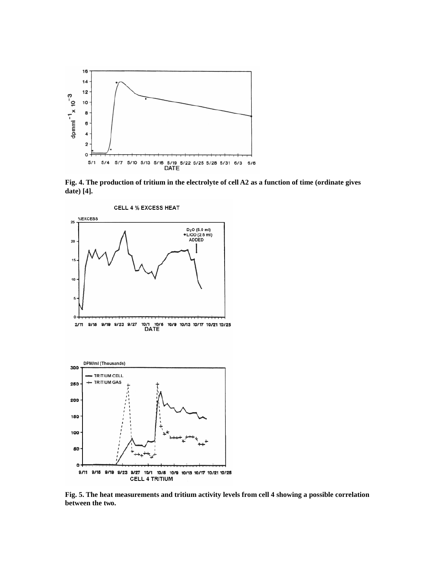

**Fig. 4. The production of tritium in the electrolyte of cell A2 as a function of time (ordinate gives date) [4].**



**Fig. 5. The heat measurements and tritium activity levels from cell 4 showing a possible correlation between the two.**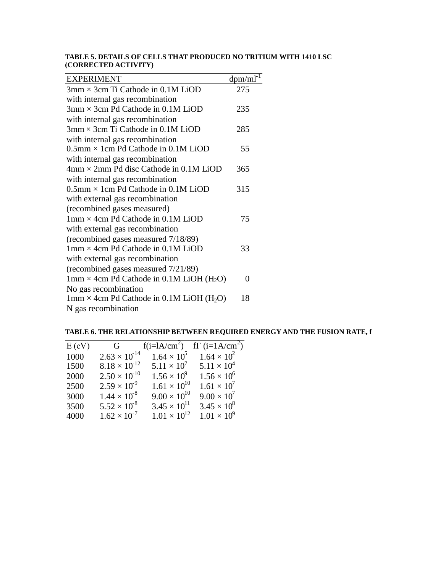#### **TABLE 5. DETAILS OF CELLS THAT PRODUCED NO TRITIUM WITH 1410 LSC (CORRECTED ACTIVITY)**

| <b>EXPERIMENT</b>                                             | $dpm/ml^{-1}$ |
|---------------------------------------------------------------|---------------|
| $3 \text{mm} \times 3 \text{cm}$ Ti Cathode in 0.1M LiOD      | 275           |
| with internal gas recombination                               |               |
| $3 \text{mm} \times 3 \text{cm}$ Pd Cathode in 0.1M LiOD      | 235           |
| with internal gas recombination                               |               |
| $3 \text{mm} \times 3 \text{cm}$ Ti Cathode in 0.1M LiOD      | 285           |
| with internal gas recombination                               |               |
| $0.5$ mm $\times$ 1 cm Pd Cathode in 0.1M LiOD                | 55            |
| with internal gas recombination                               |               |
| $4 \text{mm} \times 2 \text{mm}$ Pd disc Cathode in 0.1M LiOD | 365           |
| with internal gas recombination                               |               |
| $0.5$ mm $\times$ 1 cm Pd Cathode in 0.1M LiOD                | 315           |
| with external gas recombination                               |               |
| (recombined gases measured)                                   |               |
| $1 \text{mm} \times 4 \text{cm}$ Pd Cathode in 0.1M LiOD      | 75            |
| with external gas recombination                               |               |
| (recombined gases measured 7/18/89)                           |               |
| $1 \text{mm} \times 4 \text{cm}$ Pd Cathode in 0.1M LiOD      | 33            |
| with external gas recombination                               |               |
| (recombined gases measured 7/21/89)                           |               |
| $1mm \times 4cm$ Pd Cathode in 0.1M LiOH (H <sub>2</sub> O)   | 0             |
| No gas recombination                                          |               |
| 1mm $\times$ 4cm Pd Cathode in 0.1M LiOH (H <sub>2</sub> O)   | 18            |
| N gas recombination                                           |               |

**TABLE 6. THE RELATIONSHIP BETWEEN REQUIRED ENERGY AND THE FUSION RATE, f**

| E(eV) | $\mathbf G$            | $f(i=IA/cm^2)$        | $f\Gamma$ (i=1A/cm <sup>2</sup> ) |
|-------|------------------------|-----------------------|-----------------------------------|
| 1000  | $2.63 \times 10^{14}$  | $1.64 \times 10^5$    | $1.64 \times 10^{2}$              |
| 1500  | $8.18 \times 10^{-12}$ | $5.11 \times 10^{7}$  | $5.11 \times 10^{4}$              |
| 2000  | $2.50 \times 10^{10}$  | $1.56 \times 10^9$    | $1.56 \times 10^{6}$              |
| 2500  | $2.59 \times 10^{9}$   | $1.61 \times 10^{10}$ | $1.61 \times 10^{7}$              |
| 3000  | $1.44 \times 10^{8}$   | $9.00 \times 10^{10}$ | $9.00 \times 10^{7}$              |
| 3500  | $5.52 \times 10^{8}$   | $3.45 \times 10^{11}$ | $3.45 \times 10^{8}$              |
| 4000  | $1.62 \times 10^{-7}$  | $1.01 \times 10^{12}$ | $1.01 \times 10^9$                |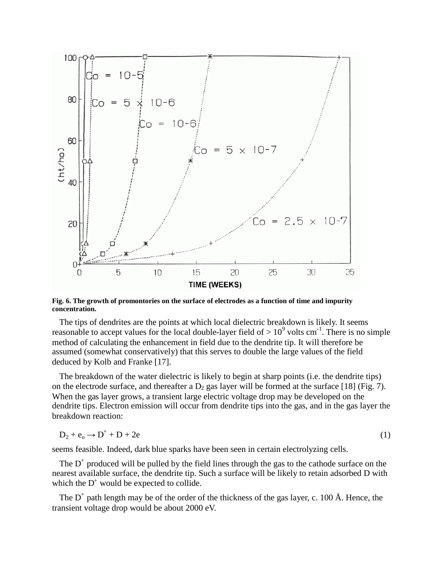

**Fig. 6. The growth of promontories on the surface of electrodes as a function of time and impurity concentration.**

The tips of dendrites are the points at which local dielectric breakdown is likely. It seems reasonable to accept values for the local double-layer field of  $> 10^9$  volts cm<sup>-1</sup>. There is no simple method of calculating the enhancement in field due to the dendrite tip. It will therefore be assumed (somewhat conservatively) that this serves to double the large values of the field deduced by Kolb and Franke [17].

The breakdown of the water dielectric is likely to begin at sharp points (i.e. the dendrite tips) on the electrode surface, and thereafter a  $D_2$  gas layer will be formed at the surface [18] (Fig. 7). When the gas layer grows, a transient large electric voltage drop may be developed on the dendrite tips. Electron emission will occur from dendrite tips into the gas, and in the gas layer the breakdown reaction:

$$
D_2 + e_o \rightarrow D^+ + D + 2e \tag{1}
$$

seems feasible. Indeed, dark blue sparks have been seen in certain electrolyzing cells.

The  $D^+$  produced will be pulled by the field lines through the gas to the cathode surface on the nearest available surface, the dendrite tip. Such a surface will be likely to retain adsorbed D with which the  $D^+$  would be expected to collide.

The  $D^+$  path length may be of the order of the thickness of the gas layer, c. 100 Å. Hence, the transient voltage drop would be about 2000 eV.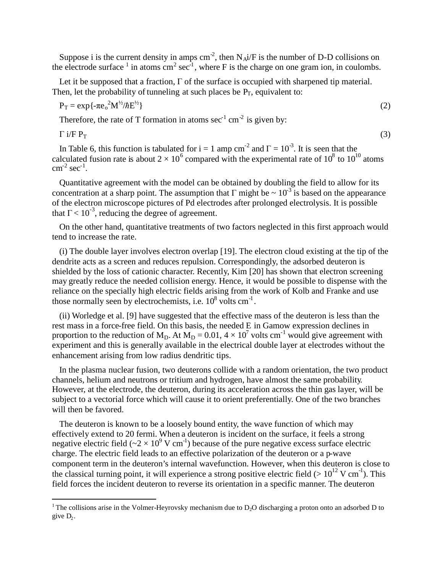Suppose i is the current density in amps  $\text{cm}^2$ , then  $\text{N}_{\text{A}}\text{i}/\text{F}$  is the number of D-D collisions on the electrode surface  $\frac{1}{1}$  $\frac{1}{1}$  $\frac{1}{1}$  in atoms cm<sup>2</sup> sec<sup>-1</sup>, where F is the charge on one gram ion, in coulombs.

Let it be supposed that a fraction,  $\Gamma$  of the surface is occupied with sharpened tip material. Then, let the probability of tunneling at such places be  $P_T$ , equivalent to:

$$
P_T = \exp\{-\pi e_o^2 M^{1/2}/\hbar E^{1/2}\}\tag{2}
$$

Therefore, the rate of T formation in atoms  $\sec^{-1}$  cm<sup>-2</sup> is given by:

 $\Gamma$  i/F  $P_T$  (3)

In Table 6, this function is tabulated for  $i = 1$  amp cm<sup>-2</sup> and  $\Gamma = 10^{-3}$ . It is seen that the calculated fusion rate is about  $2 \times 10^6$  compared with the experimental rate of  $10^8$  to  $10^{10}$  atoms  $\text{cm}^{-2} \text{ sec}^{-1}$ .

Quantitative agreement with the model can be obtained by doubling the field to allow for its concentration at a sharp point. The assumption that  $\Gamma$  might be  $\sim 10^{-3}$  is based on the appearance of the electron microscope pictures of Pd electrodes after prolonged electrolysis. It is possible that  $\Gamma$  < 10<sup>-3</sup>, reducing the degree of agreement.

On the other hand, quantitative treatments of two factors neglected in this first approach would tend to increase the rate.

(i) The double layer involves electron overlap [19]. The electron cloud existing at the tip of the dendrite acts as a screen and reduces repulsion. Correspondingly, the adsorbed deuteron is shielded by the loss of cationic character. Recently, Kim [20] has shown that electron screening may greatly reduce the needed collision energy. Hence, it would be possible to dispense with the reliance on the specially high electric fields arising from the work of Kolb and Franke and use those normally seen by electrochemists, i.e.  $10^8$  volts cm<sup>-1</sup>.

(ii) Worledge et al. [9] have suggested that the effective mass of the deuteron is less than the rest mass in a force-free field. On this basis, the needed E in Gamow expression declines in proportion to the reduction of  $M_D$ . At  $M_D = 0.01$ ,  $4 \times 10^7$  volts cm<sup>-1</sup> would give agreement with experiment and this is generally available in the electrical double layer at electrodes without the enhancement arising from low radius dendritic tips.

In the plasma nuclear fusion, two deuterons collide with a random orientation, the two product channels, helium and neutrons or tritium and hydrogen, have almost the same probability. However, at the electrode, the deuteron, during its acceleration across the thin gas layer, will be subject to a vectorial force which will cause it to orient preferentially. One of the two branches will then be favored.

The deuteron is known to be a loosely bound entity, the wave function of which may effectively extend to 20 fermi. When a deuteron is incident on the surface, it feels a strong negative electric field ( $\sim$ 2  $\times$  10<sup>9</sup> V cm<sup>-1</sup>) because of the pure negative excess surface electric charge. The electric field leads to an effective polarization of the deuteron or a p-wave component term in the deuteron's internal wavefunction. However, when this deuteron is close to the classical turning point, it will experience a strong positive electric field ( $> 10^{12}$  V cm<sup>-1</sup>). This field forces the incident deuteron to reverse its orientation in a specific manner. The deuteron

<span id="page-12-0"></span><sup>&</sup>lt;sup>1</sup> The collisions arise in the Volmer-Heyrovsky mechanism due to  $D<sub>2</sub>O$  discharging a proton onto an adsorbed  $D$  to give  $D_2$ .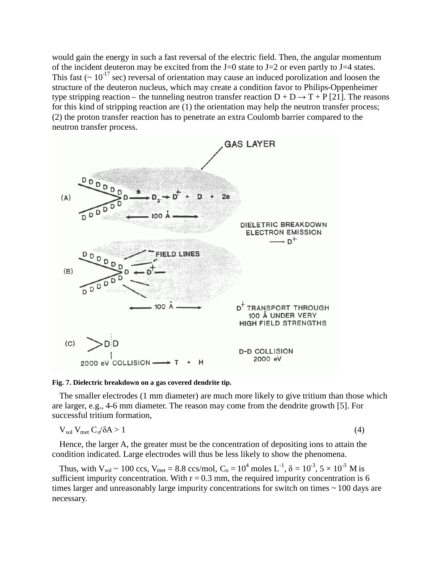would gain the energy in such a fast reversal of the electric field. Then, the angular momentum of the incident deuteron may be excited from the  $J=0$  state to  $J=2$  or even partly to  $J=4$  states. This fast ( $\sim 10^{-17}$  sec) reversal of orientation may cause an induced porolization and loosen the structure of the deuteron nucleus, which may create a condition favor to Philips-Oppenheimer type stripping reaction – the tunneling neutron transfer reaction  $D + D \rightarrow T + P$  [21]. The reasons for this kind of stripping reaction are (1) the orientation may help the neutron transfer process; (2) the proton transfer reaction has to penetrate an extra Coulomb barrier compared to the neutron transfer process.





The smaller electrodes (1 mm diameter) are much more likely to give tritium than those which are larger, e.g., 4-6 mm diameter. The reason may come from the dendrite growth [5]. For successful tritium formation,

$$
V_{sol} V_{met} C_0 / \delta A > 1 \tag{4}
$$

Hence, the larger A, the greater must be the concentration of depositing ions to attain the condition indicated. Large electrodes will thus be less likely to show the phenomena.

Thus, with  $V_{sol} \sim 100 \text{ ccs}$ ,  $V_{met} = 8.8 \text{ ccs/mol}$ ,  $C_0 = 10^4 \text{ moles L}^{-1}$ ,  $\delta = 10^{-3}$ ,  $5 \times 10^{-3} \text{ M is}$ sufficient impurity concentration. With  $r = 0.3$  mm, the required impurity concentration is 6 times larger and unreasonably large impurity concentrations for switch on times ~ 100 days are necessary.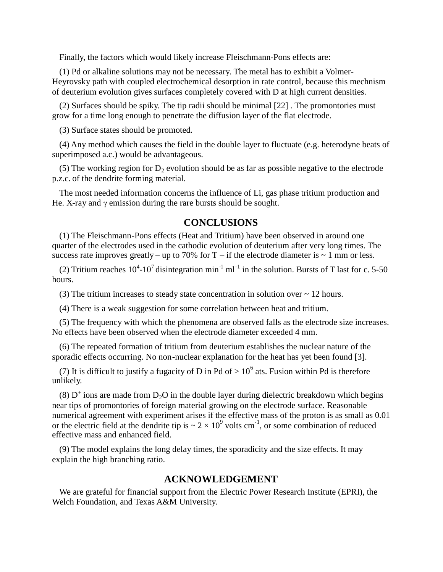Finally, the factors which would likely increase Fleischmann-Pons effects are:

(1) Pd or alkaline solutions may not be necessary. The metal has to exhibit a Volmer-Heyrovsky path with coupled electrochemical desorption in rate control, because this mechnism of deuterium evolution gives surfaces completely covered with D at high current densities.

(2) Surfaces should be spiky. The tip radii should be minimal [22] . The promontories must grow for a time long enough to penetrate the diffusion layer of the flat electrode.

(3) Surface states should be promoted.

(4) Any method which causes the field in the double layer to fluctuate (e.g. heterodyne beats of superimposed a.c.) would be advantageous.

(5) The working region for  $D_2$  evolution should be as far as possible negative to the electrode p.z.c. of the dendrite forming material.

The most needed information concerns the influence of Li, gas phase tritium production and He. X-ray and  $\gamma$  emission during the rare bursts should be sought.

# **CONCLUSIONS**

(1) The Fleischmann-Pons effects (Heat and Tritium) have been observed in around one quarter of the electrodes used in the cathodic evolution of deuterium after very long times. The success rate improves greatly – up to 70% for  $T - if$  the electrode diameter is  $\sim 1$  mm or less.

(2) Tritium reaches  $10^4$ -10<sup>7</sup> disintegration min<sup>-1</sup> ml<sup>-1</sup> in the solution. Bursts of T last for c. 5-50 hours.

(3) The tritium increases to steady state concentration in solution over ~ 12 hours.

(4) There is a weak suggestion for some correlation between heat and tritium.

(5) The frequency with which the phenomena are observed falls as the electrode size increases. No effects have been observed when the electrode diameter exceeded 4 mm.

(6) The repeated formation of tritium from deuterium establishes the nuclear nature of the sporadic effects occurring. No non-nuclear explanation for the heat has yet been found [3].

(7) It is difficult to justify a fugacity of D in Pd of  $> 10^6$  ats. Fusion within Pd is therefore unlikely.

(8)  $D^+$  ions are made from  $D_2O$  in the double layer during dielectric breakdown which begins near tips of promontories of foreign material growing on the electrode surface. Reasonable numerical agreement with experiment arises if the effective mass of the proton is as small as 0.01 or the electric field at the dendrite tip is  $\sim 2 \times 10^9$  volts cm<sup>-1</sup>, or some combination of reduced effective mass and enhanced field.

(9) The model explains the long delay times, the sporadicity and the size effects. It may explain the high branching ratio.

### **ACKNOWLEDGEMENT**

We are grateful for financial support from the Electric Power Research Institute (EPRI), the Welch Foundation, and Texas A&M University.